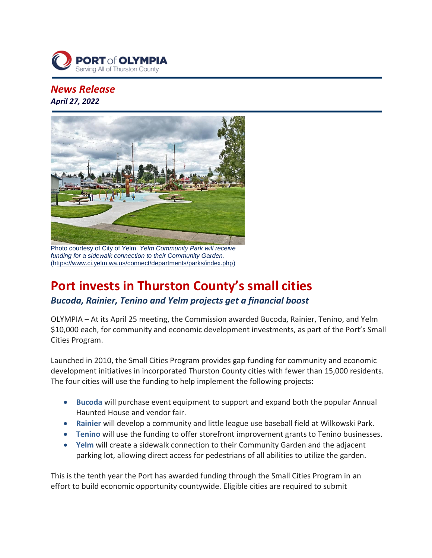

## *News Release April 27, 2022*



Photo courtesy of City of Yelm. *Yelm Community Park will receive funding for a sidewalk connection to their Community Garden.* ([https://www.ci.yelm.wa.us/connect/departments/parks/index.php\)](https://click.mailerlite.com/link/c/)

# **Port invests in Thurston County's small cities**

### *Bucoda, Rainier, Tenino and Yelm projects get a financial boost*

OLYMPIA – At its April 25 meeting, the Commission awarded Bucoda, Rainier, Tenino, and Yelm \$10,000 each, for community and economic development investments, as part of the Port's Small Cities Program.

Launched in 2010, the Small Cities Program provides gap funding for community and economic development initiatives in incorporated Thurston County cities with fewer than 15,000 residents. The four cities will use the funding to help implement the following projects:

- **Bucoda** will purchase event equipment to support and expand both the popular Annual Haunted House and vendor fair.
- **Rainier** will develop a community and little league use baseball field at Wilkowski Park.
- **Tenino** will use the funding to offer storefront improvement grants to Tenino businesses.
- **Yelm** will create a sidewalk connection to their Community Garden and the adjacent parking lot, allowing direct access for pedestrians of all abilities to utilize the garden.

This is the tenth year the Port has awarded funding through the Small Cities Program in an effort to build economic opportunity countywide. Eligible cities are required to submit